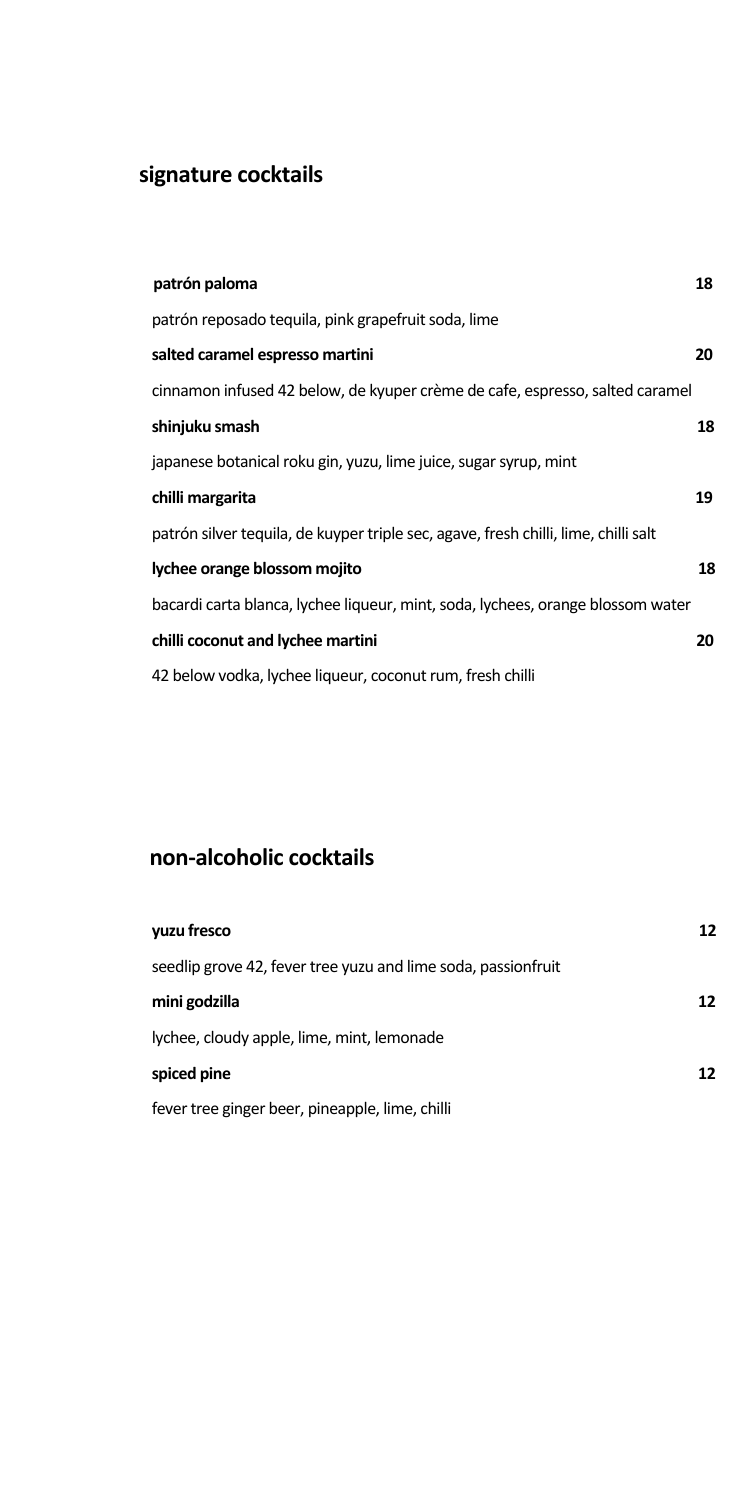# **signature cocktails**

| patrón paloma                                                                       | 18 |
|-------------------------------------------------------------------------------------|----|
| patrón reposado tequila, pink grapefruit soda, lime                                 |    |
| salted caramel espresso martini                                                     | 20 |
| cinnamon infused 42 below, de kyuper crème de cafe, espresso, salted caramel        |    |
| shinjuku smash                                                                      | 18 |
| japanese botanical roku gin, yuzu, lime juice, sugar syrup, mint                    |    |
| chilli margarita                                                                    | 19 |
| patrón silver tequila, de kuyper triple sec, agave, fresh chilli, lime, chilli salt |    |
| lychee orange blossom mojito                                                        | 18 |
| bacardi carta blanca, lychee liqueur, mint, soda, lychees, orange blossom water     |    |
| chilli coconut and lychee martini                                                   | 20 |
| 42 below vodka, lychee liqueur, coconut rum, fresh chilli                           |    |

## **non-alcoholic cocktails**

| yuzu fresco                                                   | 12  |
|---------------------------------------------------------------|-----|
| seedlip grove 42, fever tree yuzu and lime soda, passionfruit |     |
| mini godzilla                                                 | 12. |
| lychee, cloudy apple, lime, mint, lemonade                    |     |
| spiced pine                                                   | 12  |
| fever tree ginger beer, pineapple, lime, chilli               |     |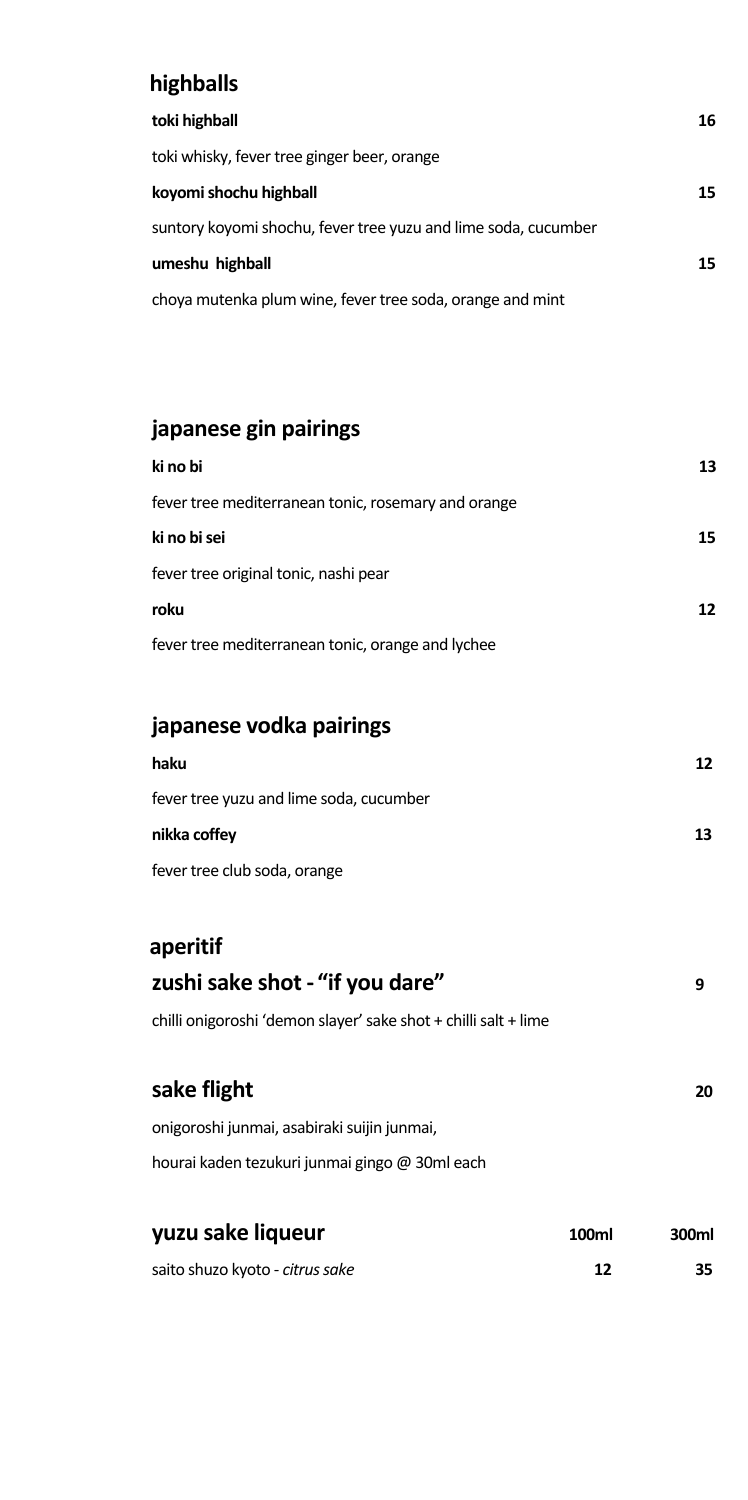#### **highballs**

| toki highball                                                  | 16 |
|----------------------------------------------------------------|----|
| toki whisky, fever tree ginger beer, orange                    |    |
| koyomi shochu highball                                         | 15 |
| suntory koyomi shochu, fever tree yuzu and lime soda, cucumber |    |
| umeshu highball                                                | 15 |
| choya mutenka plum wine, fever tree soda, orange and mint      |    |

## **japanese gin pairings**

| ki no bi                                            | 13 |
|-----------------------------------------------------|----|
| fever tree mediterranean tonic, rosemary and orange |    |
| ki no bi sei                                        | 15 |
| fever tree original tonic, nashi pear               |    |
| roku                                                | 12 |
| fever tree mediterranean tonic, orange and lychee   |    |
|                                                     |    |

#### **japanese vodka pairings**

| haku                                    | 12. |
|-----------------------------------------|-----|
| fever tree yuzu and lime soda, cucumber |     |
| nikka coffey                            | 13  |
| fever tree club soda, orange            |     |

# **aperitif zushisake shot - "if you dare" 9** chilli onigoroshi 'demon slayer' sake shot + chilli salt + lime **sake flight 20** onigoroshi junmai, asabiraki suijin junmai, hourai kaden tezukuri junmai gingo @ 30ml each

| yuzu sake liqueur               | 100ml | 300ml |
|---------------------------------|-------|-------|
| saito shuzo kyoto - citrus sake | 12    | 35.   |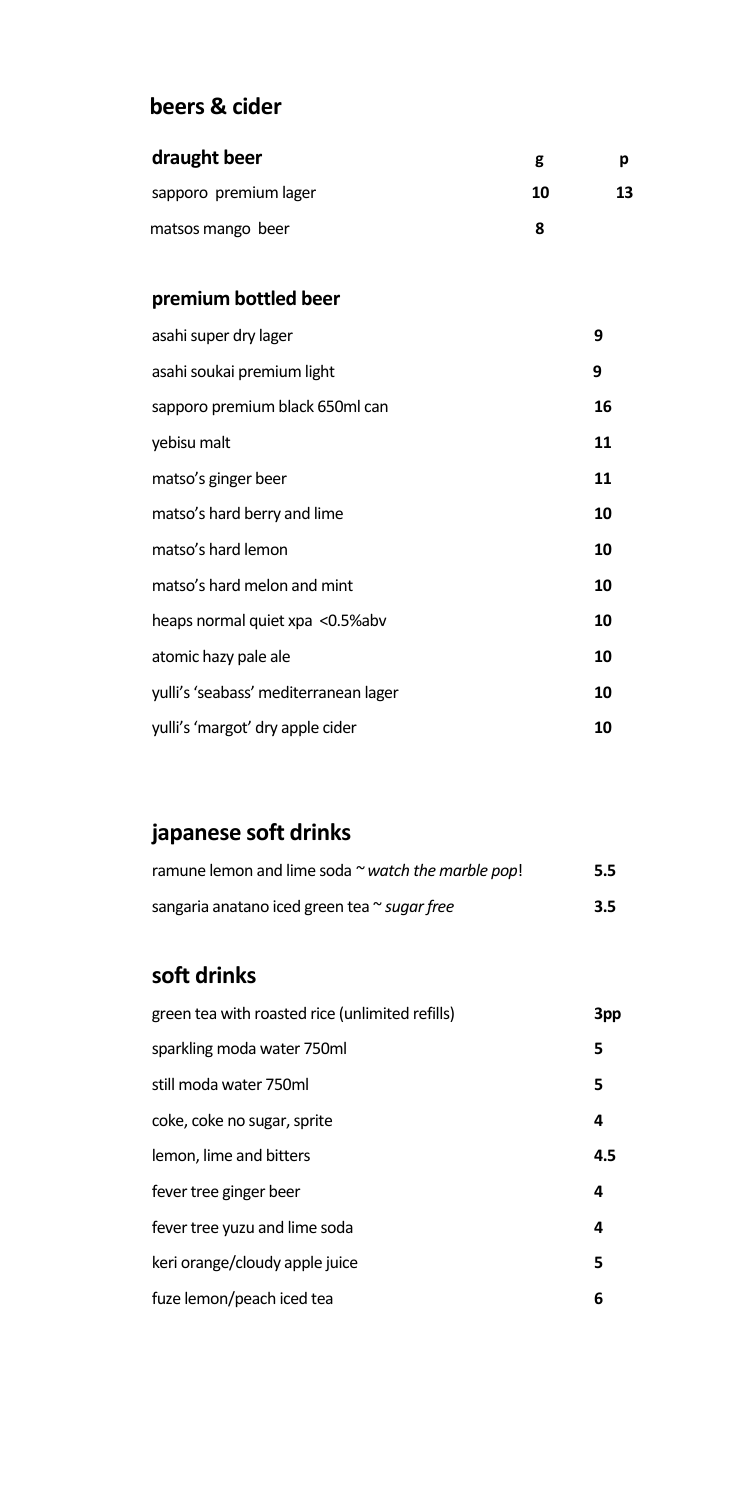### **beers & cider**

| draught beer          | g  |    |
|-----------------------|----|----|
| sapporo premium lager | 10 | 13 |
| matsos mango beer     |    |    |

#### **premium bottled beer**

| asahi super dry lager                 | 9  |
|---------------------------------------|----|
| asahi soukai premium light            | 9  |
| sapporo premium black 650ml can       | 16 |
| yebisu malt                           | 11 |
| matso's ginger beer                   | 11 |
| matso's hard berry and lime           | 10 |
| matso's hard lemon                    | 10 |
| matso's hard melon and mint           | 10 |
| heaps normal quiet xpa <0.5%abv       | 10 |
| atomic hazy pale ale                  | 10 |
| yulli's 'seabass' mediterranean lager | 10 |
| yulli's 'margot' dry apple cider      | 10 |

# **japanese soft drinks**

| ramune lemon and lime soda $\sim$ watch the marble pop! | $5.5^{\circ}$ |
|---------------------------------------------------------|---------------|
| sangaria anatano iced green tea ~ suggr free            | $3.5^{\circ}$ |

## **soft drinks**

| green tea with roasted rice (unlimited refills) | 3pp |
|-------------------------------------------------|-----|
| sparkling moda water 750ml                      | 5   |
| still moda water 750ml                          | 5   |
| coke, coke no sugar, sprite                     | 4   |
| lemon, lime and bitters                         | 4.5 |
| fever tree ginger beer                          | 4   |
| fever tree yuzu and lime soda                   | 4   |
| keri orange/cloudy apple juice                  | 5   |
| fuze lemon/peach iced tea                       | 6   |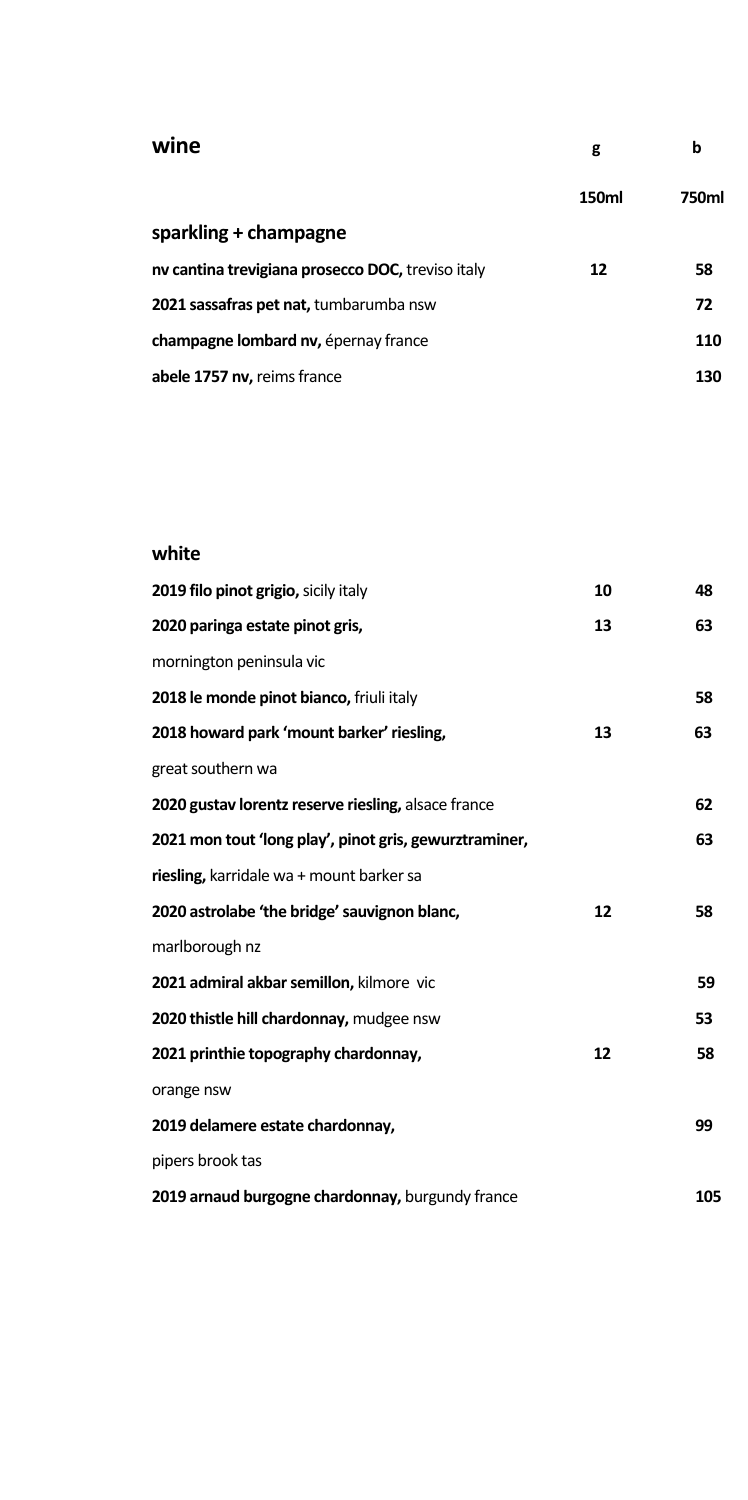#### **wine g b**

|                                                   | 150ml | 750ml |
|---------------------------------------------------|-------|-------|
| sparkling + champagne                             |       |       |
| ny cantina trevigiana prosecco DOC, treviso italy | 12    | 58    |
| 2021 sassafras pet nat, tumbarumba nsw            |       | 72    |
| <b>champagne lombard nv, epernay france</b>       |       | 110   |
| abele 1757 nv, reims france                       |       | 130   |

#### **white**

| 2019 filo pinot grigio, sicily italy                   | 10 | 48  |
|--------------------------------------------------------|----|-----|
| 2020 paringa estate pinot gris,                        | 13 | 63  |
| mornington peninsula vic                               |    |     |
| 2018 le monde pinot bianco, friuli italy               |    | 58  |
| 2018 howard park 'mount barker' riesling,              | 13 | 63  |
| great southern wa                                      |    |     |
| 2020 gustav lorentz reserve riesling, alsace france    |    | 62  |
| 2021 mon tout 'long play', pinot gris, gewurztraminer, |    | 63  |
| riesling, karridale wa + mount barker sa               |    |     |
| 2020 astrolabe 'the bridge' sauvignon blanc,           | 12 | 58  |
| marlborough nz                                         |    |     |
| 2021 admiral akbar semillon, kilmore vic               |    | 59  |
| 2020 thistle hill chardonnay, mudgee nsw               |    | 53  |
| 2021 printhie topography chardonnay,                   | 12 | 58  |
| orange nsw                                             |    |     |
| 2019 delamere estate chardonnay,                       |    | 99  |
| pipers brook tas                                       |    |     |
| 2019 arnaud burgogne chardonnay, burgundy france       |    | 105 |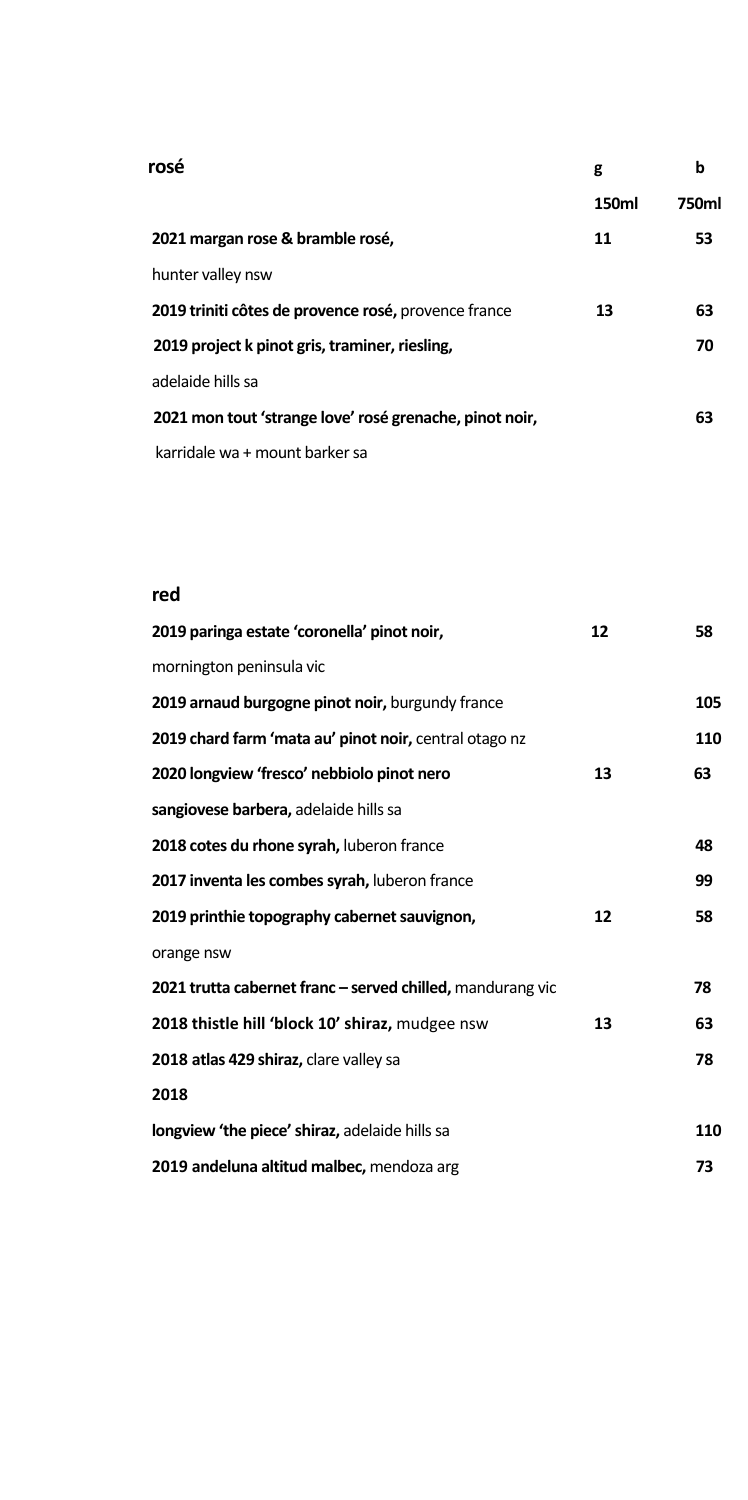| rosé                                                    | g     | b     |
|---------------------------------------------------------|-------|-------|
|                                                         | 150ml | 750ml |
| 2021 margan rose & bramble rosé,                        | 11    | 53    |
| hunter valley nsw                                       |       |       |
| 2019 triniti côtes de provence rosé, provence france    | 13    | 63    |
| 2019 project k pinot gris, traminer, riesling,          |       | 70    |
| adelaide hills sa                                       |       |       |
| 2021 mon tout 'strange love' rosé grenache, pinot noir, |       | 63    |
| karridale wa + mount barker sa                          |       |       |

#### **red**

| 2019 paringa estate 'coronella' pinot noir,                | 12 | 58  |
|------------------------------------------------------------|----|-----|
| mornington peninsula vic                                   |    |     |
| 2019 arnaud burgogne pinot noir, burgundy france           |    | 105 |
| 2019 chard farm 'mata au' pinot noir, central otago nz     |    | 110 |
| 2020 longview 'fresco' nebbiolo pinot nero                 | 13 | 63  |
| sangiovese barbera, adelaide hills sa                      |    |     |
| 2018 cotes du rhone syrah, luberon france                  |    | 48  |
| 2017 inventa les combes syrah, luberon france              |    | 99  |
| 2019 printhie topography cabernet sauvignon,               | 12 | 58  |
| orange nsw                                                 |    |     |
| 2021 trutta cabernet franc - served chilled, mandurang vic |    | 78  |
| 2018 thistle hill 'block 10' shiraz, mudgee nsw            | 13 | 63  |
| 2018 atlas 429 shiraz, clare valley sa                     |    | 78  |
| 2018                                                       |    |     |
| <b>longview 'the piece' shiraz, adelaide hills sa</b>      |    | 110 |
| 2019 andeluna altitud malbec, mendoza arg                  |    | 73  |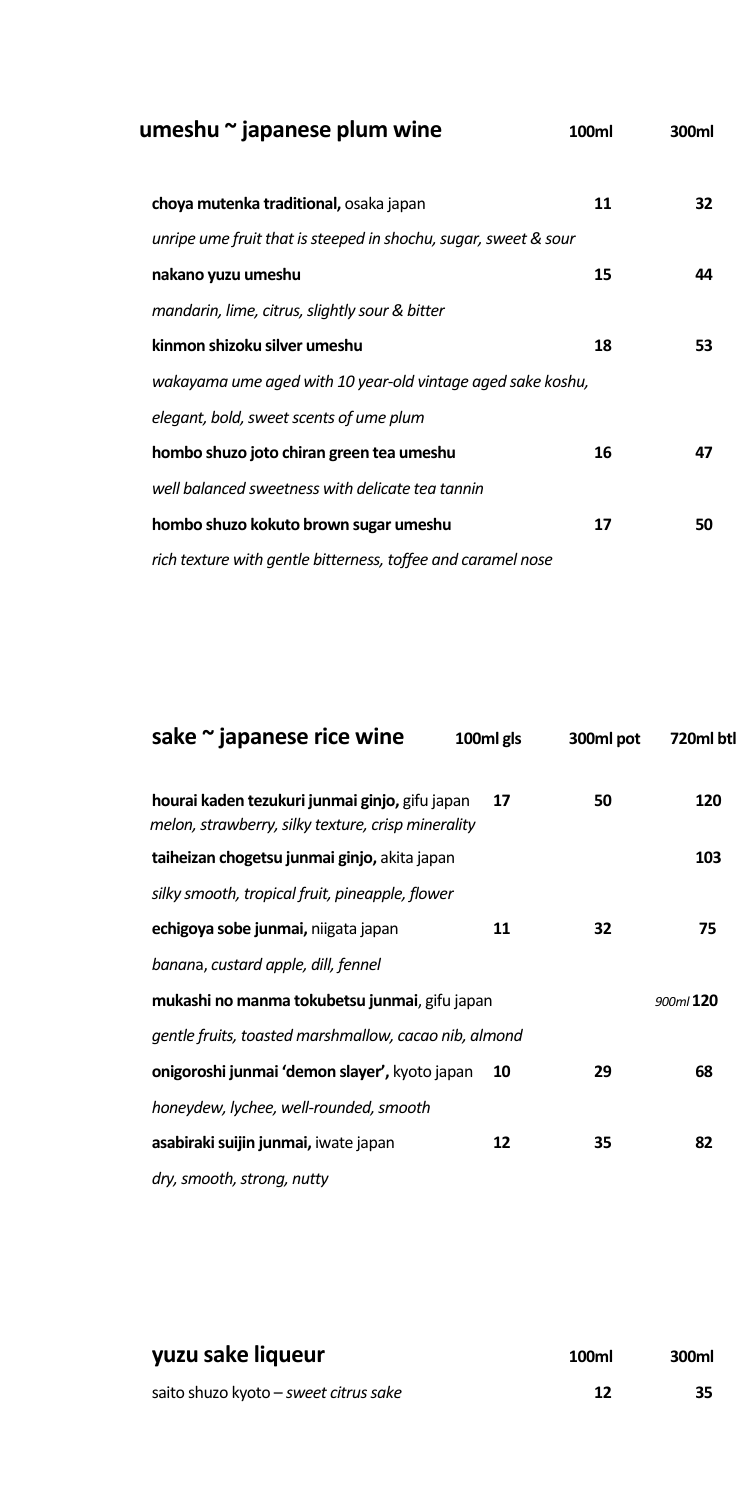| umeshu $\sim$ japanese plum wine                                | 100ml | 300ml |
|-----------------------------------------------------------------|-------|-------|
| choya mutenka traditional, osaka japan                          | 11    | 32    |
| unripe ume fruit that is steeped in shochu, sugar, sweet & sour |       |       |
| nakano yuzu umeshu                                              | 15    | 44    |
| mandarin, lime, citrus, slightly sour & bitter                  |       |       |
| kinmon shizoku silver umeshu                                    | 18    | 53    |
| wakayama ume aged with 10 year-old vintage aged sake koshu,     |       |       |
| elegant, bold, sweet scents of ume plum                         |       |       |
| hombo shuzo joto chiran green tea umeshu                        | 16    | 47    |
| well balanced sweetness with delicate tea tannin                |       |       |
| hombo shuzo kokuto brown sugar umeshu                           | 17    | 50    |
| rich texture with gentle bitterness, toffee and caramel nose    |       |       |

| sake ~ japanese rice wine                                                                            | 100ml gls | 300ml pot | 720ml btl |
|------------------------------------------------------------------------------------------------------|-----------|-----------|-----------|
| hourai kaden tezukuri junmai ginjo, gifu japan<br>melon, strawberry, silky texture, crisp minerality | 17        | 50        | 120       |
| taiheizan chogetsu junmai ginjo, akita japan                                                         |           |           | 103       |
| silky smooth, tropical fruit, pineapple, flower                                                      |           |           |           |
| echigoya sobe junmai, niigata japan                                                                  | 11        | 32        | 75        |
| banana, custard apple, dill, fennel                                                                  |           |           |           |
| mukashi no manma tokubetsu junmai, gifu japan<br>900ml 120                                           |           |           |           |
| gentle fruits, toasted marshmallow, cacao nib, almond                                                |           |           |           |
| onigoroshi junmai 'demon slayer', kyoto japan                                                        | 10        | 29        | 68        |
| honeydew, lychee, well-rounded, smooth                                                               |           |           |           |
| asabiraki suijin junmai, iwate japan                                                                 | 12        | 35        | 82        |
| dry, smooth, strong, nutty                                                                           |           |           |           |

| yuzu sake liqueur                     | 100ml | 300ml |
|---------------------------------------|-------|-------|
| saito shuzo kyoto – sweet citrus sake | 12    | 35    |